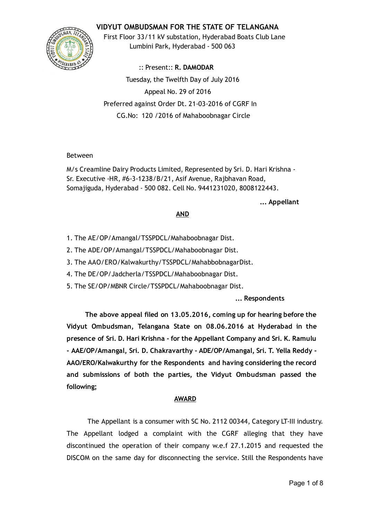## VIDYUT OMBUDSMAN FOR THE STATE OF TELANGANA



First Floor 33/11 kV substation, Hyderabad Boats Club Lane Lumbini Park, Hyderabad ‐ 500 063

:: Present:: R. DAMODAR Tuesday, the Twelfth Day of July 2016 Appeal No. 29 of 2016 Preferred against Order Dt. 21‐03‐2016 of CGRF In CG.No: 120 /2016 of Mahaboobnagar Circle

### Between

M/s Creamline Dairy Products Limited, Represented by Sri. D. Hari Krishna ‐ Sr. Executive ‐HR, #6‐3‐1238/B/21, Asif Avenue, Rajbhavan Road, Somajiguda, Hyderabad ‐ 500 082. Cell No. 9441231020, 8008122443.

... Appellant

### AND

- 1. The AE/OP/Amangal/TSSPDCL/Mahaboobnagar Dist.
- 2. The ADE/OP/Amangal/TSSPDCL/Mahaboobnagar Dist.
- 3. The AAO/ERO/Kalwakurthy/TSSPDCL/MahabbobnagarDist.
- 4. The DE/OP/Jadcherla/TSSPDCL/Mahaboobnagar Dist.
- 5. The SE/OP/MBNR Circle/TSSPDCL/Mahaboobnagar Dist.

... Respondents

The above appeal filed on 13.05.2016, coming up for hearing before the Vidyut Ombudsman, Telangana State on 08.06.2016 at Hyderabad in the presence of Sri. D. Hari Krishna ‐ for the Appellant Company and Sri. K. Ramulu ‐ AAE/OP/Amangal, Sri. D. Chakravarthy ‐ ADE/OP/Amangal, Sri. T. Yella Reddy ‐ AAO/ERO/Kalwakurthy for the Respondents and having considering the record and submissions of both the parties, the Vidyut Ombudsman passed the following;

### AWARD

The Appellant is a consumer with SC No. 2112 00344, Category LT‐III industry. The Appellant lodged a complaint with the CGRF alleging that they have discontinued the operation of their company w.e.f 27.1.2015 and requested the DISCOM on the same day for disconnecting the service. Still the Respondents have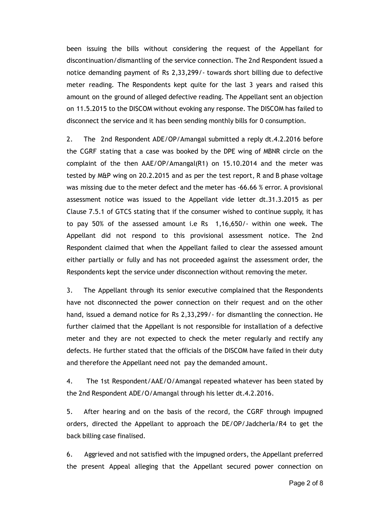been issuing the bills without considering the request of the Appellant for discontinuation/dismantling of the service connection. The 2nd Respondent issued a notice demanding payment of Rs 2,33,299/‐ towards short billing due to defective meter reading. The Respondents kept quite for the last 3 years and raised this amount on the ground of alleged defective reading. The Appellant sent an objection on 11.5.2015 to the DISCOM without evoking any response. The DISCOM has failed to disconnect the service and it has been sending monthly bills for 0 consumption.

2. The 2nd Respondent ADE/OP/Amangal submitted a reply dt.4.2.2016 before the CGRF stating that a case was booked by the DPE wing of MBNR circle on the complaint of the then AAE/OP/Amangal(R1) on 15.10.2014 and the meter was tested by M&P wing on 20.2.2015 and as per the test report, R and B phase voltage was missing due to the meter defect and the meter has -66.66 % error. A provisional assessment notice was issued to the Appellant vide letter dt.31.3.2015 as per Clause 7.5.1 of GTCS stating that if the consumer wished to continue supply, it has to pay 50% of the assessed amount i.e Rs 1,16,650/‐ within one week. The Appellant did not respond to this provisional assessment notice. The 2nd Respondent claimed that when the Appellant failed to clear the assessed amount either partially or fully and has not proceeded against the assessment order, the Respondents kept the service under disconnection without removing the meter.

3. The Appellant through its senior executive complained that the Respondents have not disconnected the power connection on their request and on the other hand, issued a demand notice for Rs 2,33,299/- for dismantling the connection. He further claimed that the Appellant is not responsible for installation of a defective meter and they are not expected to check the meter regularly and rectify any defects. He further stated that the officials of the DISCOM have failed in their duty and therefore the Appellant need not pay the demanded amount.

4. The 1st Respondent/AAE/O/Amangal repeated whatever has been stated by the 2nd Respondent ADE/O/Amangal through his letter dt.4.2.2016.

5. After hearing and on the basis of the record, the CGRF through impugned orders, directed the Appellant to approach the DE/OP/Jadcherla/R4 to get the back billing case finalised.

6. Aggrieved and not satisfied with the impugned orders, the Appellant preferred the present Appeal alleging that the Appellant secured power connection on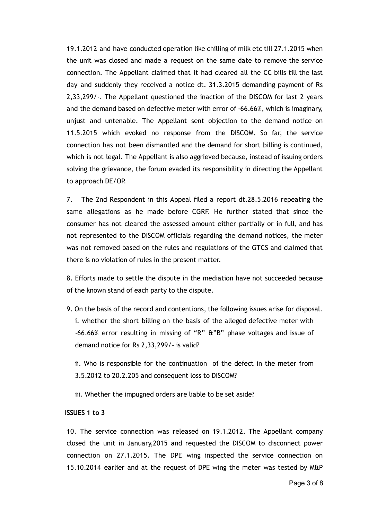19.1.2012 and have conducted operation like chilling of milk etc till 27.1.2015 when the unit was closed and made a request on the same date to remove the service connection. The Appellant claimed that it had cleared all the CC bills till the last day and suddenly they received a notice dt. 31.3.2015 demanding payment of Rs 2,33,299/‐. The Appellant questioned the inaction of the DISCOM for last 2 years and the demand based on defective meter with error of ‐66.66%, which is imaginary, unjust and untenable. The Appellant sent objection to the demand notice on 11.5.2015 which evoked no response from the DISCOM. So far, the service connection has not been dismantled and the demand for short billing is continued, which is not legal. The Appellant is also aggrieved because, instead of issuing orders solving the grievance, the forum evaded its responsibility in directing the Appellant to approach DE/OP.

7. The 2nd Respondent in this Appeal filed a report dt.28.5.2016 repeating the same allegations as he made before CGRF. He further stated that since the consumer has not cleared the assessed amount either partially or in full, and has not represented to the DISCOM officials regarding the demand notices, the meter was not removed based on the rules and regulations of the GTCS and claimed that there is no violation of rules in the present matter.

8. Efforts made to settle the dispute in the mediation have not succeeded because of the known stand of each party to the dispute.

9. On the basis of the record and contentions, the following issues arise for disposal. i. whether the short billing on the basis of the alleged defective meter with ‐66.66% error resulting in missing of "R" &"B" phase voltages and issue of demand notice for Rs 2,33,299/‐ is valid?

ii. Who is responsible for the continuation of the defect in the meter from 3.5.2012 to 20.2.205 and consequent loss to DISCOM?

iii. Whether the impugned orders are liable to be set aside?

#### ISSUES 1 to 3

10. The service connection was released on 19.1.2012. The Appellant company closed the unit in January,2015 and requested the DISCOM to disconnect power connection on 27.1.2015. The DPE wing inspected the service connection on 15.10.2014 earlier and at the request of DPE wing the meter was tested by M&P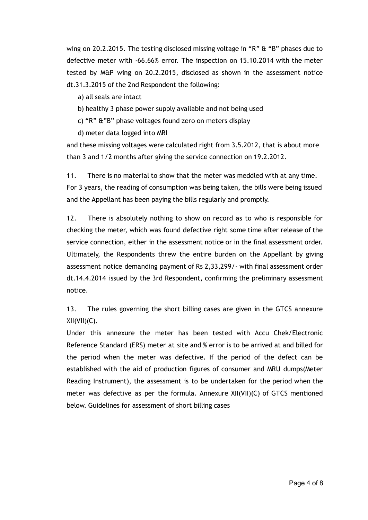wing on 20.2.2015. The testing disclosed missing voltage in "R" & "B" phases due to defective meter with ‐66.66% error. The inspection on 15.10.2014 with the meter tested by M&P wing on 20.2.2015, disclosed as shown in the assessment notice dt.31.3.2015 of the 2nd Respondent the following:

a) all seals are intact

- b) healthy 3 phase power supply available and not being used
- c) "R" &"B" phase voltages found zero on meters display

d) meter data logged into MRI

and these missing voltages were calculated right from 3.5.2012, that is about more than 3 and 1/2 months after giving the service connection on 19.2.2012.

11. There is no material to show that the meter was meddled with at any time. For 3 years, the reading of consumption was being taken, the bills were being issued and the Appellant has been paying the bills regularly and promptly.

12. There is absolutely nothing to show on record as to who is responsible for checking the meter, which was found defective right some time after release of the service connection, either in the assessment notice or in the final assessment order. Ultimately, the Respondents threw the entire burden on the Appellant by giving assessment notice demanding payment of Rs 2,33,299/‐ with final assessment order dt.14.4.2014 issued by the 3rd Respondent, confirming the preliminary assessment notice.

13. The rules governing the short billing cases are given in the GTCS annexure  $XII(VII)(C)$ .

Under this annexure the meter has been tested with Accu Chek/Electronic Reference Standard (ERS) meter at site and % error is to be arrived at and billed for the period when the meter was defective. If the period of the defect can be established with the aid of production figures of consumer and MRU dumps(Meter Reading Instrument), the assessment is to be undertaken for the period when the meter was defective as per the formula. Annexure XII(VII)(C) of GTCS mentioned below. Guidelines for assessment of short billing cases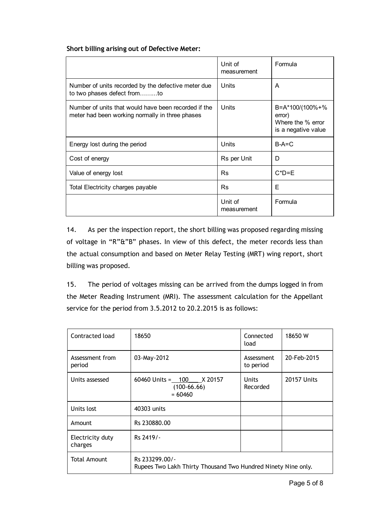### Short billing arising out of Defective Meter:

|                                                                                                         | Unit of<br>measurement | Formula                                                               |
|---------------------------------------------------------------------------------------------------------|------------------------|-----------------------------------------------------------------------|
| Number of units recorded by the defective meter due<br>to two phases defect fromto                      | Units                  | A                                                                     |
| Number of units that would have been recorded if the<br>meter had been working normally in three phases | Units                  | B=A*100/(100%+%<br>error)<br>Where the % error<br>is a negative value |
| Energy lost during the period                                                                           | Units                  | $B-A=C$<br>D                                                          |
| Cost of energy                                                                                          | Rs per Unit            |                                                                       |
| Value of energy lost                                                                                    | <b>Rs</b>              | $C^*D = E$                                                            |
| Total Electricity charges payable                                                                       | Rs                     | E                                                                     |
|                                                                                                         | Unit of<br>measurement | Formula                                                               |

14. As per the inspection report, the short billing was proposed regarding missing of voltage in "R"&"B" phases. In view of this defect, the meter records less than the actual consumption and based on Meter Relay Testing (MRT) wing report, short billing was proposed.

15. The period of voltages missing can be arrived from the dumps logged in from the Meter Reading Instrument (MRI). The assessment calculation for the Appellant service for the period from 3.5.2012 to 20.2.2015 is as follows:

| Contracted load             | 18650                                                                           | Connected<br>load        | 18650 W            |
|-----------------------------|---------------------------------------------------------------------------------|--------------------------|--------------------|
| Assessment from<br>period   | 03-May-2012                                                                     | Assessment<br>to period  | 20-Feb-2015        |
| Units assessed              | $60460$ Units = $100$ X 20157<br>$(100-66.66)$<br>$= 60460$                     | <b>Units</b><br>Recorded | <b>20157 Units</b> |
| Units lost                  | 40303 units                                                                     |                          |                    |
| Amount                      | Rs 230880.00                                                                    |                          |                    |
| Electricity duty<br>charges | Rs 2419/-                                                                       |                          |                    |
| <b>Total Amount</b>         | Rs 233299.00/-<br>Rupees Two Lakh Thirty Thousand Two Hundred Ninety Nine only. |                          |                    |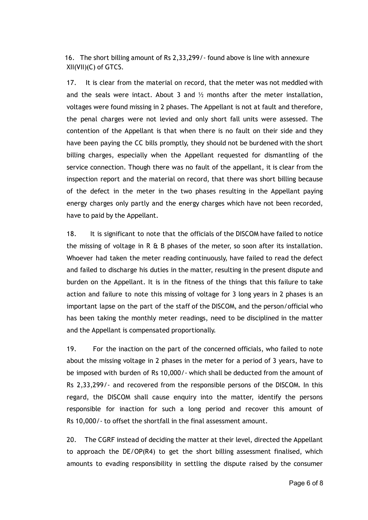16. The short billing amount of Rs 2,33,299/‐ found above is line with annexure XII(VII)(C) of GTCS.

17. It is clear from the material on record, that the meter was not meddled with and the seals were intact. About 3 and  $\frac{1}{2}$  months after the meter installation, voltages were found missing in 2 phases. The Appellant is not at fault and therefore, the penal charges were not levied and only short fall units were assessed. The contention of the Appellant is that when there is no fault on their side and they have been paying the CC bills promptly, they should not be burdened with the short billing charges, especially when the Appellant requested for dismantling of the service connection. Though there was no fault of the appellant, it is clear from the inspection report and the material on record, that there was short billing because of the defect in the meter in the two phases resulting in the Appellant paying energy charges only partly and the energy charges which have not been recorded, have to paid by the Appellant.

18. It is significant to note that the officials of the DISCOM have failed to notice the missing of voltage in R  $\&$  B phases of the meter, so soon after its installation. Whoever had taken the meter reading continuously, have failed to read the defect and failed to discharge his duties in the matter, resulting in the present dispute and burden on the Appellant. It is in the fitness of the things that this failure to take action and failure to note this missing of voltage for 3 long years in 2 phases is an important lapse on the part of the staff of the DISCOM, and the person/official who has been taking the monthly meter readings, need to be disciplined in the matter and the Appellant is compensated proportionally.

19. For the inaction on the part of the concerned officials, who failed to note about the missing voltage in 2 phases in the meter for a period of 3 years, have to be imposed with burden of Rs 10,000/‐ which shall be deducted from the amount of Rs 2,33,299/‐ and recovered from the responsible persons of the DISCOM. In this regard, the DISCOM shall cause enquiry into the matter, identify the persons responsible for inaction for such a long period and recover this amount of Rs 10,000/‐ to offset the shortfall in the final assessment amount.

20. The CGRF instead of deciding the matter at their level, directed the Appellant to approach the DE/OP(R4) to get the short billing assessment finalised, which amounts to evading responsibility in settling the dispute raised by the consumer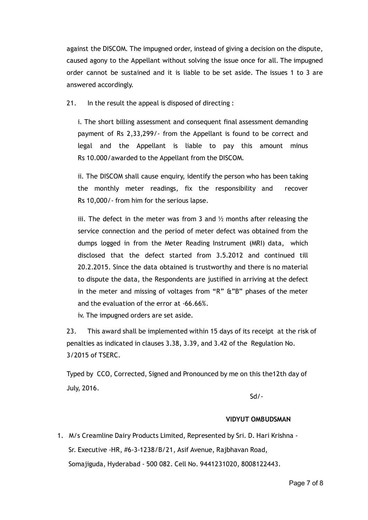against the DISCOM. The impugned order, instead of giving a decision on the dispute, caused agony to the Appellant without solving the issue once for all. The impugned order cannot be sustained and it is liable to be set aside. The issues 1 to 3 are answered accordingly.

21. In the result the appeal is disposed of directing :

i. The short billing assessment and consequent final assessment demanding payment of Rs 2,33,299/‐ from the Appellant is found to be correct and legal and the Appellant is liable to pay this amount minus Rs 10.000/awarded to the Appellant from the DISCOM.

ii. The DISCOM shall cause enquiry, identify the person who has been taking the monthly meter readings, fix the responsibility and recover Rs 10,000/‐ from him for the serious lapse.

iii. The defect in the meter was from 3 and  $\frac{1}{2}$  months after releasing the service connection and the period of meter defect was obtained from the dumps logged in from the Meter Reading Instrument (MRI) data, which disclosed that the defect started from 3.5.2012 and continued till 20.2.2015. Since the data obtained is trustworthy and there is no material to dispute the data, the Respondents are justified in arriving at the defect in the meter and missing of voltages from "R" &"B" phases of the meter and the evaluation of the error at ‐66.66%.

iv. The impugned orders are set aside.

23. This award shall be implemented within 15 days of its receipt at the risk of penalties as indicated in clauses 3.38, 3.39, and 3.42 of the Regulation No. 3/2015 of TSERC.

Typed by CCO, Corrected, Signed and Pronounced by me on this the12th day of July, 2016.

Sd/‐

### VIDYUT OMBUDSMAN

1. M/s Creamline Dairy Products Limited, Represented by Sri. D. Hari Krishna ‐ Sr. Executive ‐HR, #6‐3‐1238/B/21, Asif Avenue, Rajbhavan Road, Somajiguda, Hyderabad ‐ 500 082. Cell No. 9441231020, 8008122443.